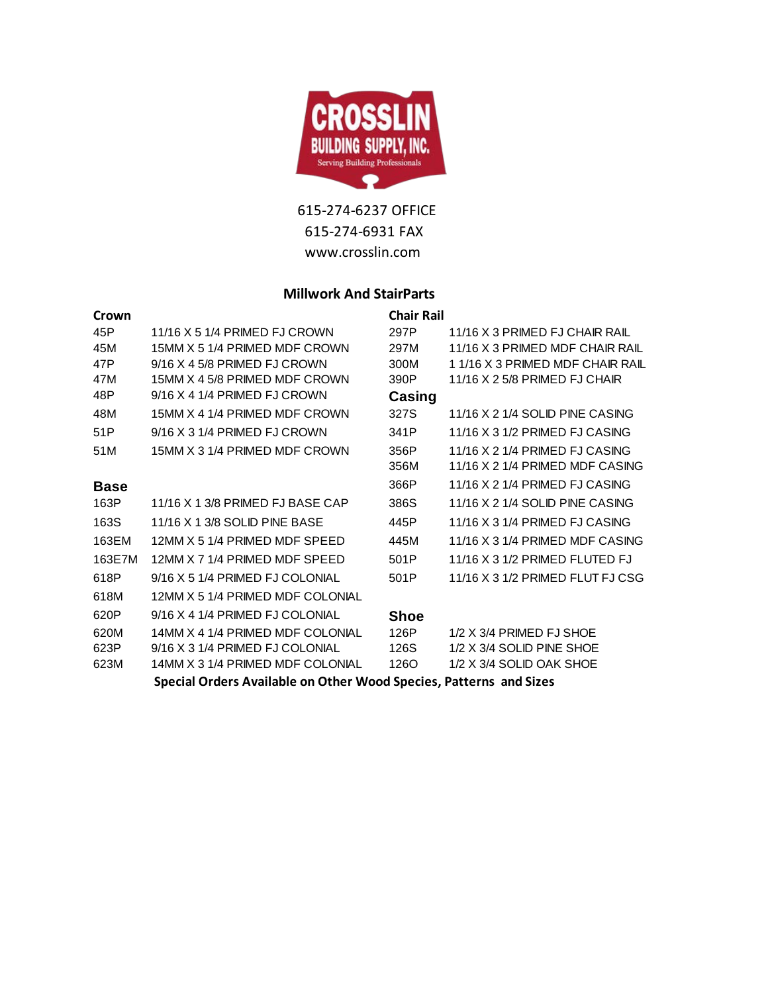

## **Millwork And StairParts**

| Crown       |                                                                    | <b>Chair Rail</b> |                                  |
|-------------|--------------------------------------------------------------------|-------------------|----------------------------------|
| 45P         | 11/16 X 5 1/4 PRIMED FJ CROWN                                      | 297P              | 11/16 X 3 PRIMED FJ CHAIR RAIL   |
| 45M         | 15MM X 5 1/4 PRIMED MDF CROWN                                      | 297M              | 11/16 X 3 PRIMED MDF CHAIR RAIL  |
| 47P         | $9/16$ X 4 5/8 PRIMED FJ CROWN                                     | 300M              | 1 1/16 X 3 PRIMED MDF CHAIR RAIL |
| 47M         | 15MM X 4 5/8 PRIMED MDF CROWN                                      | 390P              | 11/16 X 2 5/8 PRIMED FJ CHAIR    |
| 48P         | 9/16 X 4 1/4 PRIMED FJ CROWN                                       | Casing            |                                  |
| 48M         | 15MM X 4 1/4 PRIMED MDF CROWN                                      | 327S              | 11/16 X 2 1/4 SOLID PINE CASING  |
| 51P         | 9/16 X 3 1/4 PRIMED FJ CROWN                                       | 341P              | 11/16 X 3 1/2 PRIMED FJ CASING   |
| 51M         | 15MM X 3 1/4 PRIMED MDF CROWN                                      | 356P              | 11/16 X 2 1/4 PRIMED FJ CASING   |
|             |                                                                    | 356M              | 11/16 X 2 1/4 PRIMED MDF CASING  |
| <b>Base</b> |                                                                    | 366P              | 11/16 X 2 1/4 PRIMED FJ CASING   |
| 163P        | 11/16 X 13/8 PRIMED FJ BASE CAP                                    | 386S              | 11/16 X 2 1/4 SOLID PINE CASING  |
| 163S        | 11/16 X 1 3/8 SOLID PINE BASE                                      | 445P              | 11/16 X 3 1/4 PRIMED FJ CASING   |
| 163EM       | 12MM X 5 1/4 PRIMED MDF SPEED                                      | 445M              | 11/16 X 3 1/4 PRIMED MDF CASING  |
| 163E7M      | 12MM X 7 1/4 PRIMED MDF SPEED                                      | 501P              | 11/16 X 3 1/2 PRIMED FLUTED FJ   |
| 618P        | 9/16 X 5 1/4 PRIMED FJ COLONIAL                                    | 501P              | 11/16 X 3 1/2 PRIMED FLUT FJ CSG |
| 618M        | 12MM X 5 1/4 PRIMED MDF COLONIAL                                   |                   |                                  |
| 620P        | $9/16$ X 4 1/4 PRIMED FJ COLONIAL                                  | Shoe              |                                  |
| 620M        | 14MM X 4 1/4 PRIMED MDF COLONIAL                                   | 126P              | $1/2$ X $3/4$ PRIMED FJ SHOE     |
| 623P        | 9/16 X 3 1/4 PRIMED FJ COLONIAL                                    | 126S              | 1/2 X 3/4 SOLID PINE SHOE        |
| 623M        | 14MM X 3 1/4 PRIMED MDF COLONIAL                                   | 1260              | 1/2 X 3/4 SOLID OAK SHOE         |
|             | Special Orders Available on Other Wood Species, Patterns and Sizes |                   |                                  |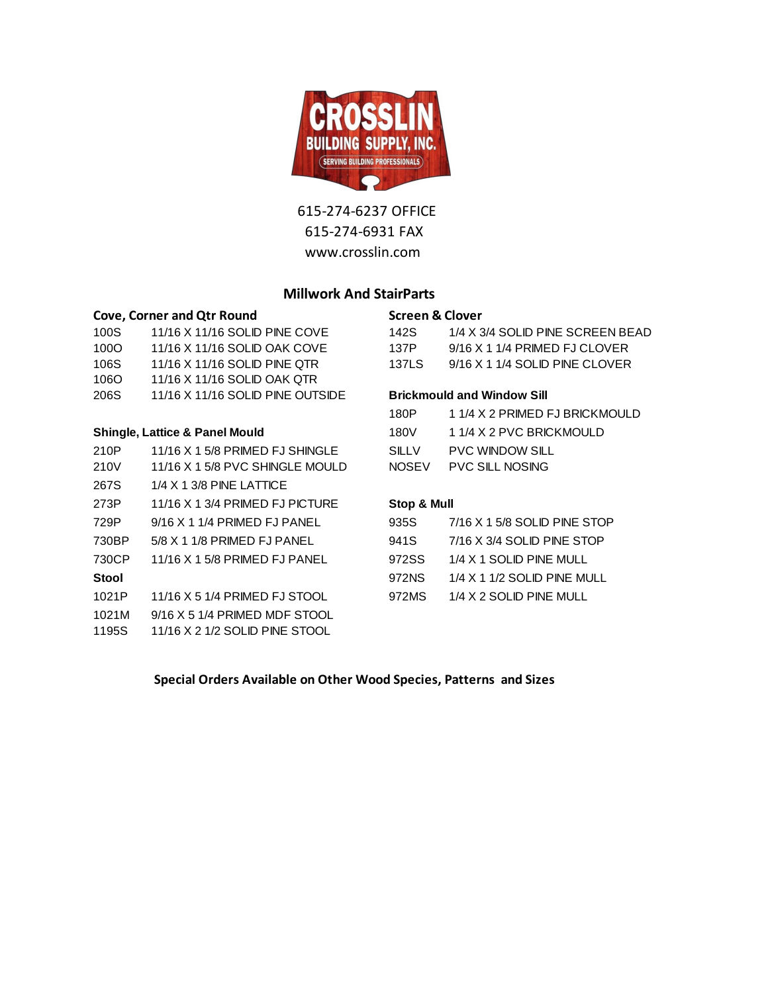

#### **Millwork And StairParts**

#### **Cove, Corner and Qtr Round Cover Screen & Clover**

| 206S              | 11/16 X 11/16 SOLID PINE OUTSIDE |       | <b>Brickmould and Window Sill</b> |
|-------------------|----------------------------------|-------|-----------------------------------|
| 106O              | 11/16 X 11/16 SOLID OAK OTR      |       |                                   |
| 106S              | 11/16 X 11/16 SOLID PINE OTR     | 137LS | 9/16 X 1 1/4 SOLID PINE CLOVER    |
| 1000 <sub>1</sub> | 11/16 X 11/16 SOLID OAK COVE     | 137P  | $9/16$ X 1 1/4 PRIMED FJ CLOVER   |
| 100S              | 11/16 X 11/16 SOLID PINE COVE    | 142S  | 1/4 X 3/4 SOLID PINE SCREEN BE    |
|                   |                                  |       |                                   |

#### **Shingle, Lattice & Panel Mould**

| 210P         | 11/16 X 1 5/8 PRIMED FJ SHINGLE   | <b>SILLV</b> | <b>PVC WINDOW SILL</b>          |
|--------------|-----------------------------------|--------------|---------------------------------|
| 210V         | 11/16 X 1 5/8 PVC SHINGLE MOULD   | <b>NOSEV</b> | <b>PVC SILL NOSING</b>          |
| 267S         | $1/4$ X 1 3/8 PINE LATTICE        |              |                                 |
| 273P         | $11/16$ X 1 3/4 PRIMED FJ PICTURE | Stop & Mull  |                                 |
| 729P         | $9/16$ X 1 1/4 PRIMED FJ PANEL    | 935S         | $7/16$ X 1 5/8 SOLID PINE STOP  |
| 730BP        | 5/8 X 1 1/8 PRIMED FJ PANEL       | 941S         | 7/16 X 3/4 SOLID PINE STOP      |
| 730CP        | 11/16 X 1 5/8 PRIMED FJ PANEL     | 972SS        | 1/4 X 1 SOLID PINE MULL         |
| <b>Stool</b> |                                   | 972NS        | $1/4$ X 1 $1/2$ SOLID PINE MULL |
| 1021P        | 11/16 X 5 1/4 PRIMED FJ STOOL     | 972MS        | 1/4 X 2 SOLID PINE MULL         |
| 1021M        | $9/16$ X 5 1/4 PRIMED MDF STOOL   |              |                                 |
| 1195S        | 11/16 X 2 1/2 SOLID PINE STOOL    |              |                                 |
|              |                                   |              |                                 |

| 100S | 11/16 X 11/16 SOLID PINE COVE             | 142S                              | 1/4 X 3/4 SOLID PINE SCREEN BEAD |
|------|-------------------------------------------|-----------------------------------|----------------------------------|
| 100O | 11/16 X 11/16 SOLID OAK COVE              | 137P                              | 9/16 X 1 1/4 PRIMED FJ CLOVER    |
| 106S | 11/16 X 11/16 SOLID PINE QTR              | <b>137LS</b>                      | $9/16$ X 1 1/4 SOLID PINE CLOVER |
| 1060 | 11/16 X 11/16 SOLID OAK QTR               |                                   |                                  |
| 206S | 11/16 X 11/16 SOLID PINE OUTSIDE          | <b>Brickmould and Window Sill</b> |                                  |
|      |                                           | 180P                              | 1 1/4 X 2 PRIMED FJ BRICKMOULD   |
|      | <b>Shingle, Lattice &amp; Panel Mould</b> | 180V                              | 1 1/4 X 2 PVC BRICKMOULD         |
| 210P | 11/16 X 1 5/8 PRIMED FJ SHINGLE           | <b>SILLV</b>                      | <b>PVC WINDOW SILL</b>           |
| 210V | 11/16 X 1 5/8 PVC SHINGLE MOULD           | <b>NOSEV</b>                      | <b>PVC SILL NOSING</b>           |

#### Stop & Mull

| 935S  | 7/16 X 1 5/8 SOLID PINE STOP  |
|-------|-------------------------------|
| 941S  | 7/16 X 3/4 SOLID PINE STOP    |
| 972SS | 1/4 X 1 SOLID PINE MULL       |
| 972NS | $1/4$ X 1 1/2 SOLID PINE MULL |
| 972MS | 1/4 X 2 SOLID PINE MULL       |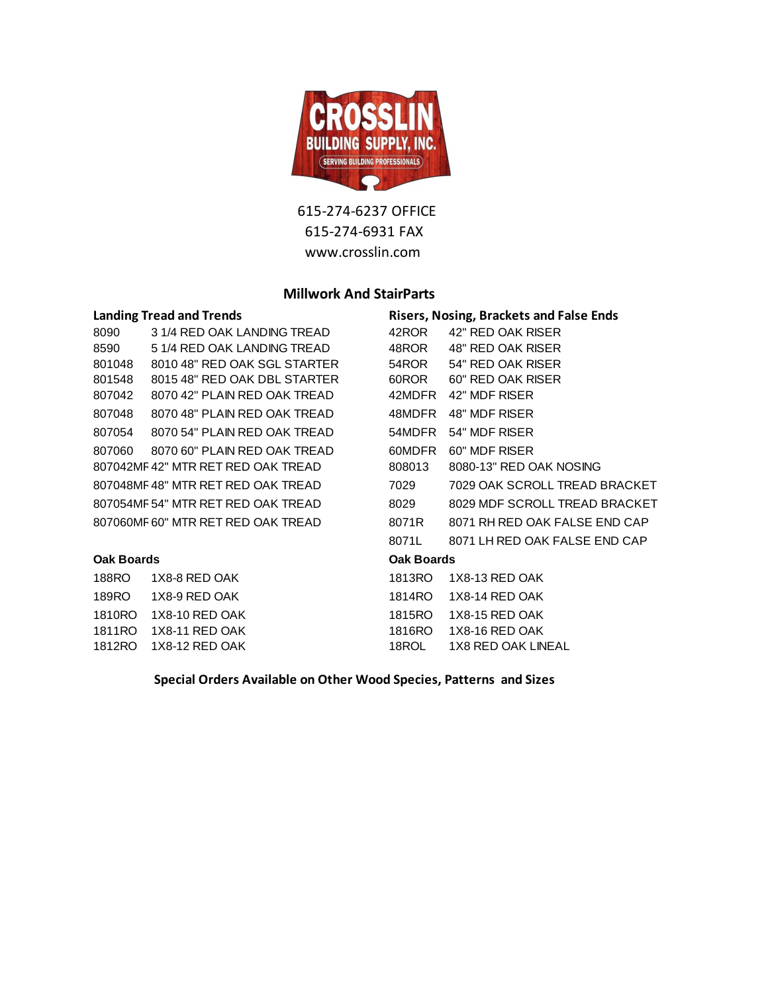

#### **Millwork And StairParts**

| <b>Landing Tread and Trends</b>   |                                    | <b>Risers, Nosing, Brackets and False Ends</b> |                               |  |
|-----------------------------------|------------------------------------|------------------------------------------------|-------------------------------|--|
| 8090                              | 3 1/4 RED OAK LANDING TREAD        | 42ROR                                          | 42" RED OAK RISER             |  |
| 8590                              | 5 1/4 RED OAK LANDING TREAD        | 48ROR                                          | 48" RED OAK RISER             |  |
| 801048                            | 8010 48" RED OAK SGL STARTER       | 54ROR                                          | 54" RED OAK RISER             |  |
| 801548                            | 8015 48" RED OAK DBL STARTER       | 60ROR                                          | 60" RED OAK RISER             |  |
| 807042                            | 8070 42" PLAIN RED OAK TREAD       | 42MDFR                                         | 42" MDF RISER                 |  |
| 807048                            | 8070 48" PLAIN RED OAK TREAD       | 48MDFR                                         | 48" MDF RISER                 |  |
| 807054                            | 8070 54" PLAIN RED OAK TREAD       | 54MDFR                                         | 54" MDF RISER                 |  |
| 807060                            | 8070 60" PLAIN RED OAK TREAD       | 60MDFR                                         | 60" MDF RISER                 |  |
|                                   | 807042MF42" MTR RET RED OAK TREAD  | 808013                                         | 8080-13" RED OAK NOSING       |  |
|                                   | 807048MF48" MTR RET RED OAK TREAD  | 7029                                           | 7029 OAK SCROLL TREAD BRACKET |  |
|                                   | 807054MF 54" MTR RET RED OAK TREAD | 8029                                           | 8029 MDF SCROLL TREAD BRACKET |  |
| 807060MF60" MTR RET RED OAK TREAD |                                    | 8071R                                          | 8071 RH RED OAK FALSE END CAP |  |
|                                   |                                    | 8071L                                          | 8071 LH RED OAK FALSE END CAP |  |
| <b>Oak Boards</b>                 |                                    | <b>Oak Boards</b>                              |                               |  |
| 188RO                             | 1X8-8 RED OAK                      | 1813RO                                         | 1X8-13 RED OAK                |  |
| 189RO                             | 1X8-9 RED OAK                      | 1814RO                                         | 1X8-14 RED OAK                |  |
| 1810RO                            | 1X8-10 RED OAK                     | 1815RO                                         | 1X8-15 RED OAK                |  |
| 1811RO                            | 1X8-11 RED OAK                     | 1816RO                                         | 1X8-16 RED OAK                |  |
| 1812RO                            | 1X8-12 RED OAK                     | 18ROL                                          | <b>1X8 RED OAK LINEAL</b>     |  |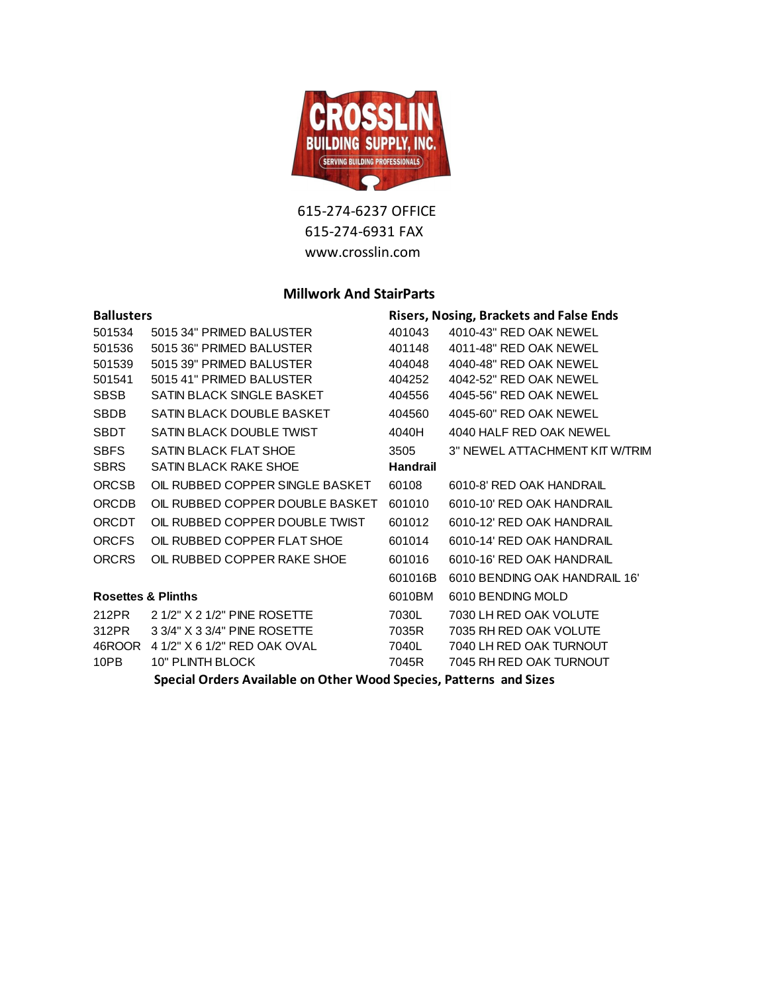

### **Millwork And StairParts**

| <b>Ballusters</b>             |                                 | <b>Risers, Nosing, Brackets and False Ends</b> |                                |  |
|-------------------------------|---------------------------------|------------------------------------------------|--------------------------------|--|
| 501534                        | 5015 34" PRIMED BALUSTER        | 401043                                         | 4010-43" RED OAK NEWEL         |  |
| 501536                        | 5015 36" PRIMED BALUSTER        | 401148                                         | 4011-48" RED OAK NEWEL         |  |
| 501539                        | 5015 39" PRIMED BALUSTER        | 404048                                         | 4040-48" RED OAK NEWEL         |  |
| 501541                        | 5015 41" PRIMED BALUSTER        | 404252                                         | 4042-52" RED OAK NEWEL         |  |
| <b>SBSB</b>                   | SATIN BLACK SINGLE BASKET       | 404556                                         | 4045-56" RED OAK NEWEL         |  |
| <b>SBDB</b>                   | SATIN BLACK DOUBLE BASKET       | 404560                                         | 4045-60" RED OAK NEWEL         |  |
| <b>SBDT</b>                   | SATIN BLACK DOUBLE TWIST        | 4040H                                          | 4040 HALF RED OAK NEWEL        |  |
| <b>SBFS</b>                   | <b>SATIN BLACK FLAT SHOE</b>    | 3505                                           | 3" NEWEL ATTACHMENT KIT W/TRIM |  |
| <b>SBRS</b>                   | SATIN BLACK RAKE SHOE           | <b>Handrail</b>                                |                                |  |
| <b>ORCSB</b>                  | OIL RUBBED COPPER SINGLE BASKET | 60108                                          | 6010-8' RED OAK HANDRAIL       |  |
| <b>ORCDB</b>                  | OIL RUBBED COPPER DOUBLE BASKET | 601010                                         | 6010-10' RED OAK HANDRAIL      |  |
| <b>ORCDT</b>                  | OIL RUBBED COPPER DOUBLE TWIST  | 601012                                         | 6010-12' RED OAK HANDRAIL      |  |
| <b>ORCFS</b>                  | OIL RUBBED COPPER FLAT SHOE     | 601014                                         | 6010-14' RED OAK HANDRAIL      |  |
| <b>ORCRS</b>                  | OIL RUBBED COPPER RAKE SHOE     | 601016                                         | 6010-16' RED OAK HANDRAIL      |  |
|                               |                                 | 601016B                                        | 6010 BENDING OAK HANDRAIL 16'  |  |
| <b>Rosettes &amp; Plinths</b> |                                 | 6010BM                                         | 6010 BENDING MOLD              |  |
| 212PR                         | 2 1/2" X 2 1/2" PINE ROSETTE    | 7030L                                          | 7030 LH RED OAK VOLUTE         |  |
| 312PR                         | 3 3/4" X 3 3/4" PINE ROSETTE    | 7035R                                          | 7035 RH RED OAK VOLUTE         |  |
| 46ROOR                        | 4 1/2" X 6 1/2" RED OAK OVAL    | 7040L                                          | 7040 LH RED OAK TURNOUT        |  |
| 10PB                          | 10" PLINTH BLOCK                | 7045R                                          | 7045 RH RED OAK TURNOUT        |  |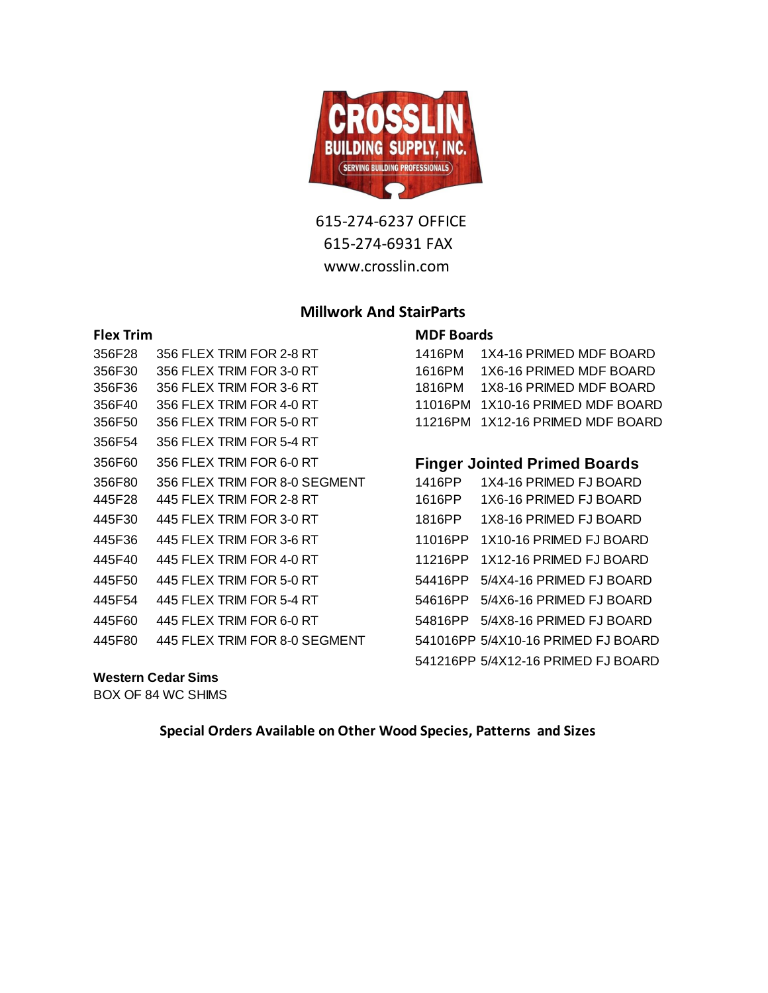

# **Millwork And StairParts**

### **Flex Trim MDF Boards**

| 356F28 | 356 FLEX TRIM FOR 2-8 RT      | 1416PM  | 1X4-16 PRIMED MDF BOARD             |
|--------|-------------------------------|---------|-------------------------------------|
| 356F30 | 356 FLEX TRIM FOR 3-0 RT      | 1616PM  | 1X6-16 PRIMED MDF BOARD             |
| 356F36 | 356 FLEX TRIM FOR 3-6 RT      | 1816PM  | 1X8-16 PRIMED MDF BOARD             |
| 356F40 | 356 FLEX TRIM FOR 4-0 RT      | 11016PM | 1X10-16 PRIMED MDF BOARD            |
| 356F50 | 356 FLEX TRIM FOR 5-0 RT      | 11216PM | 1X12-16 PRIMED MDF BOARD            |
| 356F54 | 356 FLEX TRIM FOR 5-4 RT      |         |                                     |
| 356F60 | 356 FLEX TRIM FOR 6-0 RT      |         | <b>Finger Jointed Primed Boards</b> |
| 356F80 | 356 FLEX TRIM FOR 8-0 SEGMENT | 1416PP  | 1X4-16 PRIMED FJ BOARD              |
| 445F28 | 445 FLEX TRIM FOR 2-8 RT      | 1616PP  | 1X6-16 PRIMED FJ BOARD              |
| 445F30 | 445 FLEX TRIM FOR 3-0 RT      | 1816PP  | 1X8-16 PRIMED FJ BOARD              |
| 445F36 | 445 FLEX TRIM FOR 3-6 RT      | 11016PP | 1X10-16 PRIMED FJ BOARD             |
| 445F40 | 445 FLEX TRIM FOR 4-0 RT      | 11216PP | 1X12-16 PRIMED FJ BOARD             |
| 445F50 | 445 FLEX TRIM FOR 5-0 RT      | 54416PP | 5/4X4-16 PRIMED FJ BOARD            |
| 445F54 | 445 FLEX TRIM FOR 5-4 RT      | 54616PP | 5/4X6-16 PRIMED FJ BOARD            |
| 445F60 | 445 FLEX TRIM FOR 6-0 RT      | 54816PP | 5/4X8-16 PRIMED FJ BOARD            |
| 445F80 | 445 FLEX TRIM FOR 8-0 SEGMENT |         | 541016PP 5/4X10-16 PRIMED FJ BOARD  |
|        |                               |         |                                     |

#### **Western Cedar Sims**

BOX OF 84 WC SHIMS

| 1416PM  | 1X4-16 PRIMED MDF BOARD          |
|---------|----------------------------------|
| 1616PM  | 1X6-16 PRIMED MDF BOARD          |
| 1816PM  | 1X8-16 PRIMED MDF BOARD          |
| 11016PM | 1X10-16 PRIMED MDF BOARD         |
|         | 11216PM 1X12-16 PRIMED MDF BOARD |

# **Finger Jointed Primed Boards**

| 1416PP  | 1X4-16 PRIMED FJ BOARD             |
|---------|------------------------------------|
| 1616PP  | 1X6-16 PRIMED FJ BOARD             |
| 1816PP  | 1X8-16 PRIMED FJ BOARD             |
| 11016PP | 1X10-16 PRIMED FJ BOARD            |
| 11216PP | 1X12-16 PRIMED FJ BOARD            |
| 54416PP | 5/4X4-16 PRIMED FJ BOARD           |
| 54616PP | 5/4X6-16 PRIMED FJ BOARD           |
| 54816PP | 5/4X8-16 PRIMED FJ BOARD           |
|         | 541016PP 5/4X10-16 PRIMED FJ BOARD |
|         | 541216PP 5/4X12-16 PRIMED FJ BOARD |